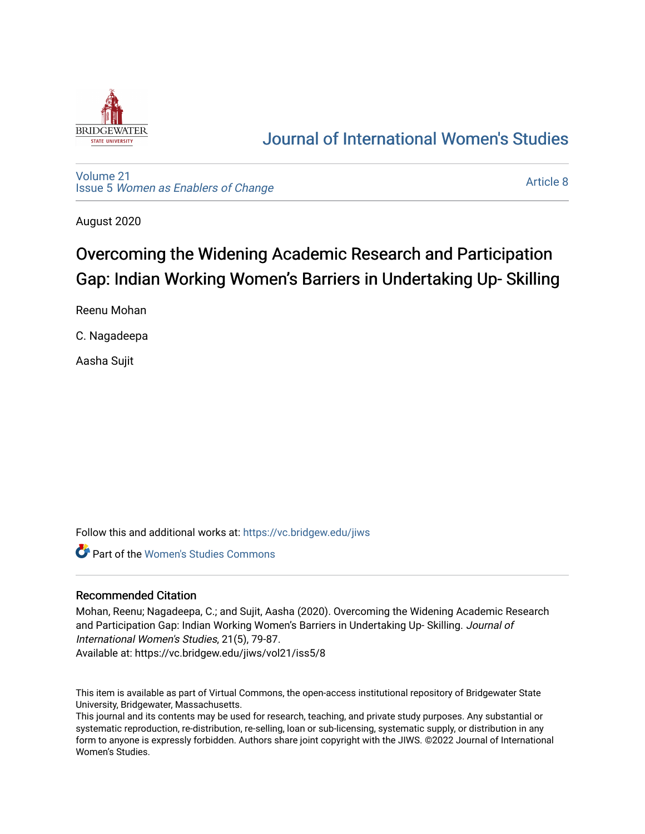

## [Journal of International Women's Studies](https://vc.bridgew.edu/jiws)

[Volume 21](https://vc.bridgew.edu/jiws/vol21) Issue 5 [Women as Enablers of Change](https://vc.bridgew.edu/jiws/vol21/iss5) 

[Article 8](https://vc.bridgew.edu/jiws/vol21/iss5/8) 

August 2020

# Overcoming the Widening Academic Research and Participation Gap: Indian Working Women's Barriers in Undertaking Up-Skilling

Reenu Mohan

C. Nagadeepa

Aasha Sujit

Follow this and additional works at: [https://vc.bridgew.edu/jiws](https://vc.bridgew.edu/jiws?utm_source=vc.bridgew.edu%2Fjiws%2Fvol21%2Fiss5%2F8&utm_medium=PDF&utm_campaign=PDFCoverPages)

**Part of the Women's Studies Commons** 

#### Recommended Citation

Mohan, Reenu; Nagadeepa, C.; and Sujit, Aasha (2020). Overcoming the Widening Academic Research and Participation Gap: Indian Working Women's Barriers in Undertaking Up- Skilling. Journal of International Women's Studies, 21(5), 79-87.

Available at: https://vc.bridgew.edu/jiws/vol21/iss5/8

This item is available as part of Virtual Commons, the open-access institutional repository of Bridgewater State University, Bridgewater, Massachusetts.

This journal and its contents may be used for research, teaching, and private study purposes. Any substantial or systematic reproduction, re-distribution, re-selling, loan or sub-licensing, systematic supply, or distribution in any form to anyone is expressly forbidden. Authors share joint copyright with the JIWS. ©2022 Journal of International Women's Studies.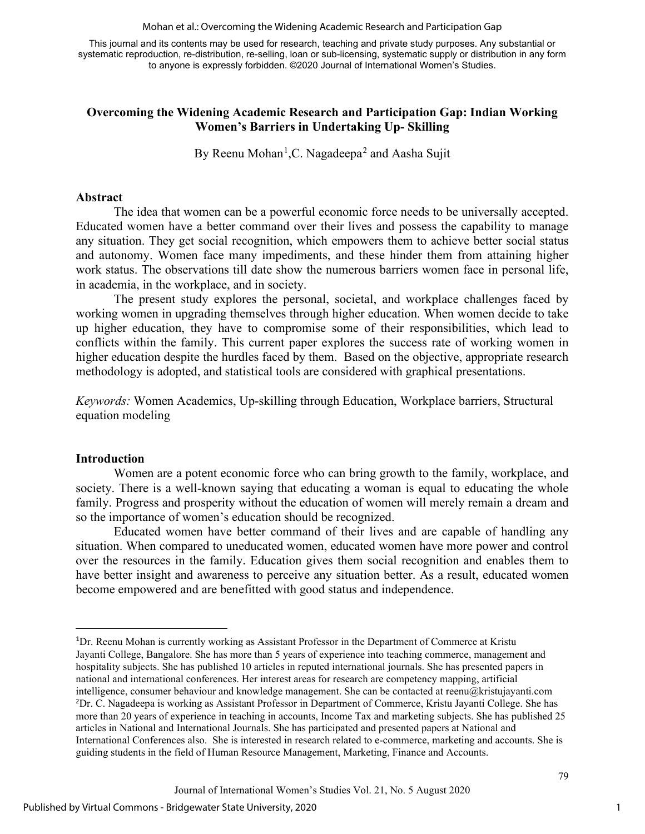Mohan et al.: Overcoming the Widening Academic Research and Participation Gap

This journal and its contents may be used for research, teaching and private study purposes. Any substantial or systematic reproduction, re-distribution, re-selling, loan or sub-licensing, systematic supply or distribution in any form to anyone is expressly forbidden. ©2020 Journal of International Women's Studies.

## **Overcoming the Widening Academic Research and Participation Gap: Indian Working Women's Barriers in Undertaking Up- Skilling**

By Reenu Mohan<sup>[1](#page-1-0)</sup>, C. Nagadeepa<sup>[2](#page-1-1)</sup> and Aasha Sujit

### **Abstract**

The idea that women can be a powerful economic force needs to be universally accepted. Educated women have a better command over their lives and possess the capability to manage any situation. They get social recognition, which empowers them to achieve better social status and autonomy. Women face many impediments, and these hinder them from attaining higher work status. The observations till date show the numerous barriers women face in personal life, in academia, in the workplace, and in society.

The present study explores the personal, societal, and workplace challenges faced by working women in upgrading themselves through higher education. When women decide to take up higher education, they have to compromise some of their responsibilities, which lead to conflicts within the family. This current paper explores the success rate of working women in higher education despite the hurdles faced by them. Based on the objective, appropriate research methodology is adopted, and statistical tools are considered with graphical presentations.

*Keywords:* Women Academics, Up-skilling through Education, Workplace barriers, Structural equation modeling

#### **Introduction**

Women are a potent economic force who can bring growth to the family, workplace, and society. There is a well-known saying that educating a woman is equal to educating the whole family. Progress and prosperity without the education of women will merely remain a dream and so the importance of women's education should be recognized.

Educated women have better command of their lives and are capable of handling any situation. When compared to uneducated women, educated women have more power and control over the resources in the family. Education gives them social recognition and enables them to have better insight and awareness to perceive any situation better. As a result, educated women become empowered and are benefitted with good status and independence.

<span id="page-1-1"></span><span id="page-1-0"></span><sup>&</sup>lt;sup>1</sup>Dr. Reenu Mohan is currently working as Assistant Professor in the Department of Commerce at Kristu Jayanti College, Bangalore. She has more than 5 years of experience into teaching commerce, management and hospitality subjects. She has published 10 articles in reputed international journals. She has presented papers in national and international conferences. Her interest areas for research are competency mapping, artificial intelligence, consumer behaviour and knowledge management. She can be contacted at reenu@kristujayanti.com 2 Dr. C. Nagadeepa is working as Assistant Professor in Department of Commerce, Kristu Jayanti College. She has more than 20 years of experience in teaching in accounts, Income Tax and marketing subjects. She has published 25 articles in National and International Journals. She has participated and presented papers at National and International Conferences also. She is interested in research related to e-commerce, marketing and accounts. She is guiding students in the field of Human Resource Management, Marketing, Finance and Accounts.

Journal of International Women's Studies Vol. 21, No. 5 August 2020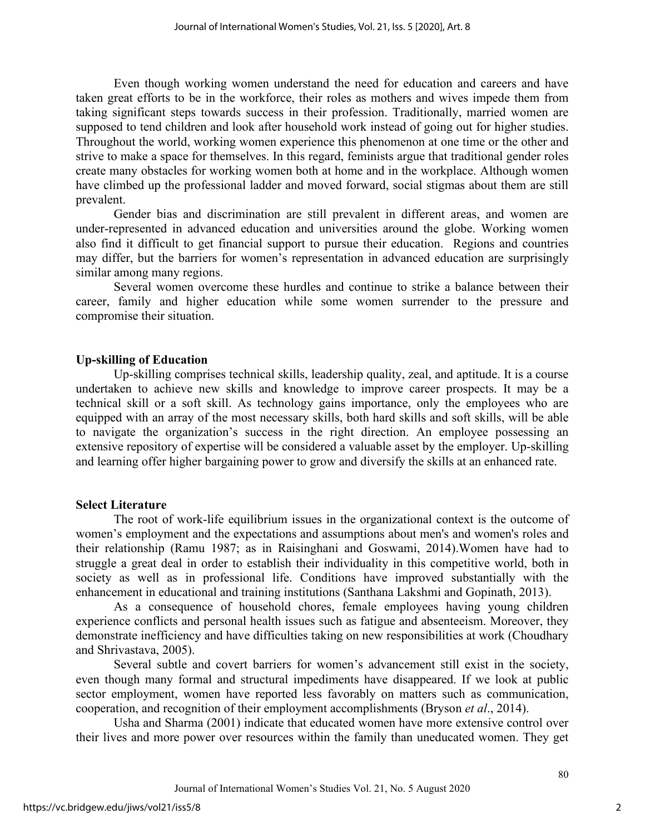Even though working women understand the need for education and careers and have taken great efforts to be in the workforce, their roles as mothers and wives impede them from taking significant steps towards success in their profession. Traditionally, married women are supposed to tend children and look after household work instead of going out for higher studies. Throughout the world, working women experience this phenomenon at one time or the other and strive to make a space for themselves. In this regard, feminists argue that traditional gender roles create many obstacles for working women both at home and in the workplace. Although women have climbed up the professional ladder and moved forward, social stigmas about them are still prevalent.

Gender bias and discrimination are still prevalent in different areas, and women are under-represented in advanced education and universities around the globe. Working women also find it difficult to get financial support to pursue their education. Regions and countries may differ, but the barriers for women's representation in advanced education are surprisingly similar among many regions.

Several women overcome these hurdles and continue to strike a balance between their career, family and higher education while some women surrender to the pressure and compromise their situation.

#### **Up-skilling of Education**

Up-skilling comprises technical skills, leadership quality, zeal, and aptitude. It is a course undertaken to achieve new skills and knowledge to improve career prospects. It may be a technical skill or a soft skill. As technology gains importance, only the employees who are equipped with an array of the most necessary skills, both hard skills and soft skills, will be able to navigate the organization's success in the right direction. An employee possessing an extensive repository of expertise will be considered a valuable asset by the employer. Up-skilling and learning offer higher bargaining power to grow and diversify the skills at an enhanced rate.

#### **Select Literature**

The root of work-life equilibrium issues in the organizational context is the outcome of women's employment and the expectations and assumptions about men's and women's roles and their relationship (Ramu 1987; as in Raisinghani and Goswami, 2014).Women have had to struggle a great deal in order to establish their individuality in this competitive world, both in society as well as in professional life. Conditions have improved substantially with the enhancement in educational and training institutions (Santhana Lakshmi and Gopinath, 2013).

As a consequence of household chores, female employees having young children experience conflicts and personal health issues such as fatigue and absenteeism. Moreover, they demonstrate inefficiency and have difficulties taking on new responsibilities at work (Choudhary and Shrivastava, 2005).

Several subtle and covert barriers for women's advancement still exist in the society, even though many formal and structural impediments have disappeared. If we look at public sector employment, women have reported less favorably on matters such as communication, cooperation, and recognition of their employment accomplishments (Bryson *et al*., 2014).

Usha and Sharma (2001) indicate that educated women have more extensive control over their lives and more power over resources within the family than uneducated women. They get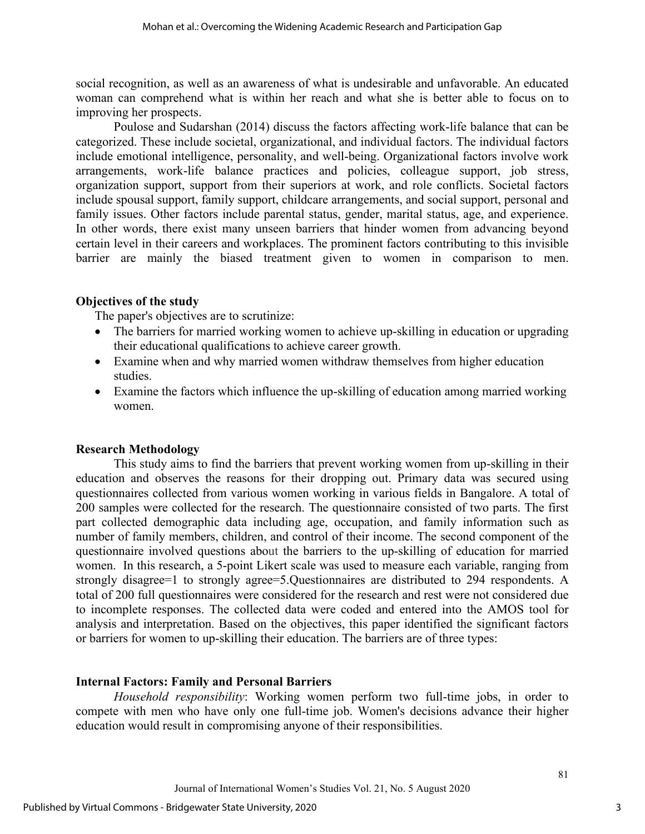social recognition, as well as an awareness of what is undesirable and unfavorable. An educated woman can comprehend what is within her reach and what she is better able to focus on to improving her prospects.

Poulose and Sudarshan (2014) discuss the factors affecting work-life balance that can be categorized. These include societal, organizational, and individual factors. The individual factors include emotional intelligence, personality, and well-being. Organizational factors involve work arrangements, work-life balance practices and policies, colleague support, job stress, organization support, support from their superiors at work, and role conflicts. Societal factors include spousal support, family support, childcare arrangements, and social support, personal and family issues. Other factors include parental status, gender, marital status, age, and experience. In other words, there exist many unseen barriers that hinder women from advancing beyond certain level in their careers and workplaces. The prominent factors contributing to this invisible barrier are mainly the biased treatment given to women in comparison to men.

#### **Objectives of the study**

The paper's objectives are to scrutinize:

- The barriers for married working women to achieve up-skilling in education or upgrading their educational qualifications to achieve career growth.
- Examine when and why married women withdraw themselves from higher education studies.
- Examine the factors which influence the up-skilling of education among married working women.

#### **Research Methodology**

This study aims to find the barriers that prevent working women from up-skilling in their education and observes the reasons for their dropping out. Primary data was secured using questionnaires collected from various women working in various fields in Bangalore. A total of 200 samples were collected for the research. The questionnaire consisted of two parts. The first part collected demographic data including age, occupation, and family information such as number of family members, children, and control of their income. The second component of the questionnaire involved questions about the barriers to the up-skilling of education for married women. In this research, a 5-point Likert scale was used to measure each variable, ranging from strongly disagree=1 to strongly agree=5.Questionnaires are distributed to 294 respondents. A total of 200 full questionnaires were considered for the research and rest were not considered due to incomplete responses. The collected data were coded and entered into the AMOS tool for analysis and interpretation. Based on the objectives, this paper identified the significant factors or barriers for women to up-skilling their education. The barriers are of three types:

#### **Internal Factors: Family and Personal Barriers**

*Household responsibility*: Working women perform two full-time jobs, in order to compete with men who have only one full-time job. Women's decisions advance their higher education would result in compromising anyone of their responsibilities.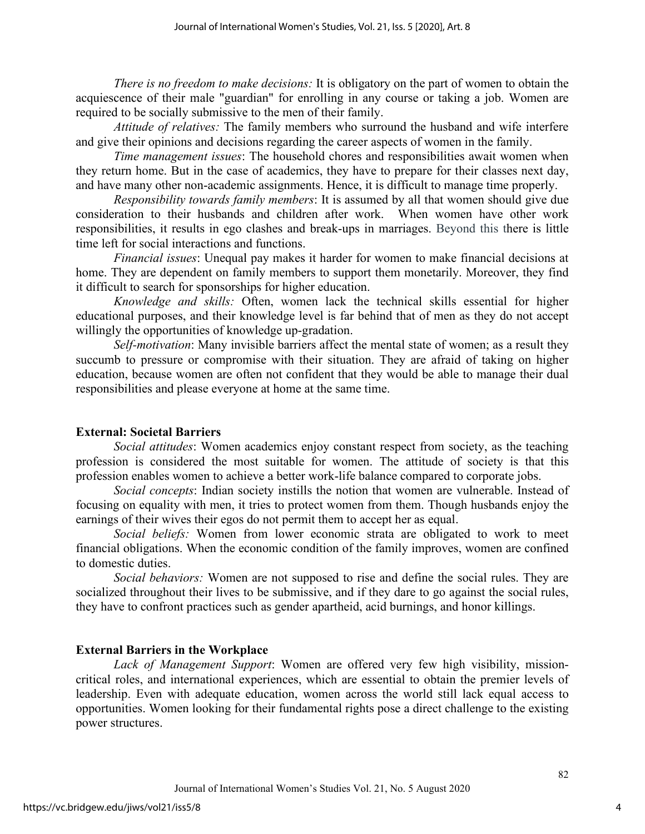*There is no freedom to make decisions:* It is obligatory on the part of women to obtain the acquiescence of their male "guardian" for enrolling in any course or taking a job. Women are required to be socially submissive to the men of their family.

*Attitude of relatives:* The family members who surround the husband and wife interfere and give their opinions and decisions regarding the career aspects of women in the family.

*Time management issues*: The household chores and responsibilities await women when they return home. But in the case of academics, they have to prepare for their classes next day, and have many other non-academic assignments. Hence, it is difficult to manage time properly.

*Responsibility towards family members*: It is assumed by all that women should give due consideration to their husbands and children after work. When women have other work responsibilities, it results in ego clashes and break-ups in marriages. Beyond this there is little time left for social interactions and functions.

*Financial issues*: Unequal pay makes it harder for women to make financial decisions at home. They are dependent on family members to support them monetarily. Moreover, they find it difficult to search for sponsorships for higher education.

*Knowledge and skills:* Often, women lack the technical skills essential for higher educational purposes, and their knowledge level is far behind that of men as they do not accept willingly the opportunities of knowledge up-gradation.

*Self-motivation*: Many invisible barriers affect the mental state of women; as a result they succumb to pressure or compromise with their situation. They are afraid of taking on higher education, because women are often not confident that they would be able to manage their dual responsibilities and please everyone at home at the same time.

## **External: Societal Barriers**

*Social attitudes*: Women academics enjoy constant respect from society, as the teaching profession is considered the most suitable for women. The attitude of society is that this profession enables women to achieve a better work-life balance compared to corporate jobs.

*Social concepts*: Indian society instills the notion that women are vulnerable. Instead of focusing on equality with men, it tries to protect women from them. Though husbands enjoy the earnings of their wives their egos do not permit them to accept her as equal.

*Social beliefs:* Women from lower economic strata are obligated to work to meet financial obligations. When the economic condition of the family improves, women are confined to domestic duties.

*Social behaviors:* Women are not supposed to rise and define the social rules. They are socialized throughout their lives to be submissive, and if they dare to go against the social rules, they have to confront practices such as gender apartheid, acid burnings, and honor killings.

## **External Barriers in the Workplace**

*Lack of Management Support*: Women are offered very few high visibility, missioncritical roles, and international experiences, which are essential to obtain the premier levels of leadership. Even with adequate education, women across the world still lack equal access to opportunities. Women looking for their fundamental rights pose a direct challenge to the existing power structures.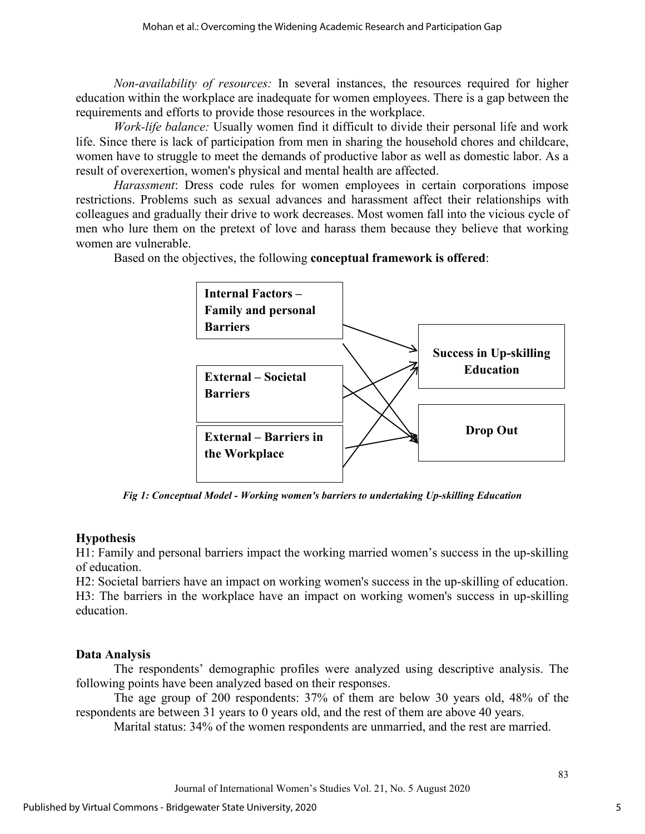*Non-availability of resources:* In several instances, the resources required for higher education within the workplace are inadequate for women employees. There is a gap between the requirements and efforts to provide those resources in the workplace.

*Work-life balance:* Usually women find it difficult to divide their personal life and work life. Since there is lack of participation from men in sharing the household chores and childcare, women have to struggle to meet the demands of productive labor as well as domestic labor. As a result of overexertion, women's physical and mental health are affected.

*Harassment*: Dress code rules for women employees in certain corporations impose restrictions. Problems such as sexual advances and harassment affect their relationships with colleagues and gradually their drive to work decreases. Most women fall into the vicious cycle of men who lure them on the pretext of love and harass them because they believe that working women are vulnerable.

Based on the objectives, the following **conceptual framework is offered**:



*Fig 1: Conceptual Model - Working women's barriers to undertaking Up-skilling Education*

## **Hypothesis**

H1: Family and personal barriers impact the working married women's success in the up-skilling of education.

H2: Societal barriers have an impact on working women's success in the up-skilling of education. H3: The barriers in the workplace have an impact on working women's success in up-skilling education.

## **Data Analysis**

The respondents' demographic profiles were analyzed using descriptive analysis. The following points have been analyzed based on their responses.

The age group of 200 respondents: 37% of them are below 30 years old, 48% of the respondents are between 31 years to 0 years old, and the rest of them are above 40 years.

Marital status: 34% of the women respondents are unmarried, and the rest are married.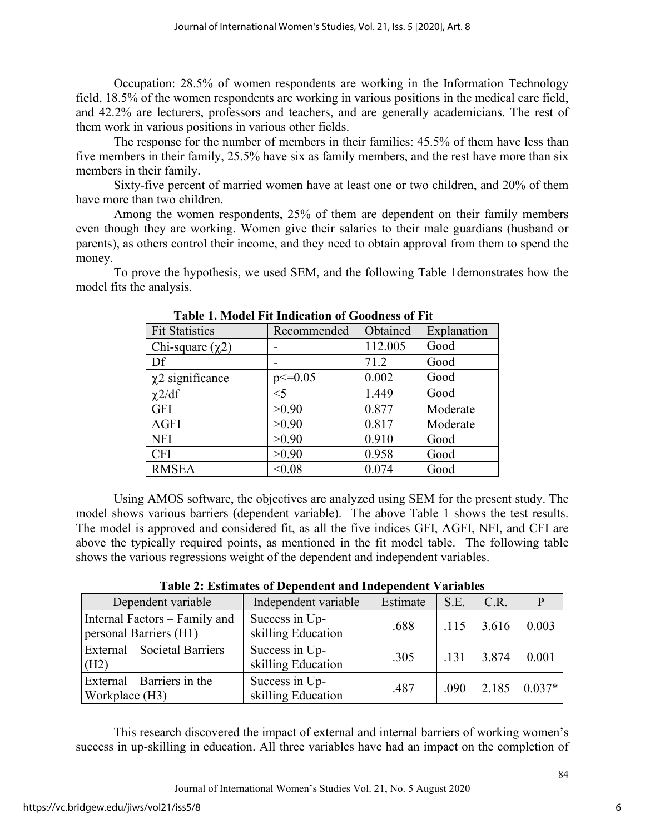Occupation: 28.5% of women respondents are working in the Information Technology field, 18.5% of the women respondents are working in various positions in the medical care field, and 42.2% are lecturers, professors and teachers, and are generally academicians. The rest of them work in various positions in various other fields.

The response for the number of members in their families: 45.5% of them have less than five members in their family, 25.5% have six as family members, and the rest have more than six members in their family.

Sixty-five percent of married women have at least one or two children, and 20% of them have more than two children.

Among the women respondents, 25% of them are dependent on their family members even though they are working. Women give their salaries to their male guardians (husband or parents), as others control their income, and they need to obtain approval from them to spend the money.

To prove the hypothesis, we used SEM, and the following Table 1demonstrates how the model fits the analysis.

| <b>Fit Statistics</b> | Recommended  | Obtained | Explanation |
|-----------------------|--------------|----------|-------------|
| Chi-square $(\chi 2)$ |              | 112.005  | Good        |
| Df                    |              | 71.2     | Good        |
| $\chi$ 2 significance | $p \le 0.05$ | 0.002    | Good        |
| $\chi$ 2/df           | $<$ 5        | 1.449    | Good        |
| <b>GFI</b>            | >0.90        | 0.877    | Moderate    |
| <b>AGFI</b>           | >0.90        | 0.817    | Moderate    |
| <b>NFI</b>            | >0.90        | 0.910    | Good        |
| <b>CFI</b>            | >0.90        | 0.958    | Good        |
| <b>RMSEA</b>          | < 0.08       | 0.074    | Good        |

**Table 1. Model Fit Indication of Goodness of Fit** 

Using AMOS software, the objectives are analyzed using SEM for the present study. The model shows various barriers (dependent variable). The above Table 1 shows the test results. The model is approved and considered fit, as all the five indices GFI, AGFI, NFI, and CFI are above the typically required points, as mentioned in the fit model table. The following table shows the various regressions weight of the dependent and independent variables.

**Table 2: Estimates of Dependent and Independent Variables**

| Dependent variable                                      | Independent variable                 | Estimate | S.E. | C.R.  |          |
|---------------------------------------------------------|--------------------------------------|----------|------|-------|----------|
| Internal Factors - Family and<br>personal Barriers (H1) | Success in Up-<br>skilling Education | .688     | .115 | 3.616 | 0.003    |
| External – Societal Barriers<br>(H2)                    | Success in Up-<br>skilling Education | .305     | .131 | 3.874 | 0.001    |
| External – Barriers in the<br>Workplace (H3)            | Success in Up-<br>skilling Education | .487     | .090 | 2.185 | $0.037*$ |

This research discovered the impact of external and internal barriers of working women's success in up-skilling in education. All three variables have had an impact on the completion of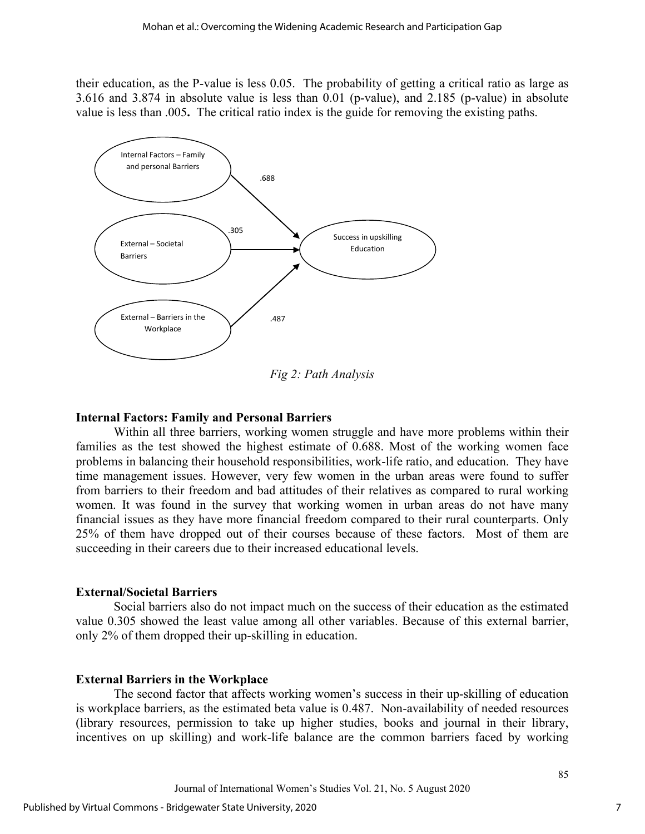their education, as the P-value is less 0.05. The probability of getting a critical ratio as large as 3.616 and 3.874 in absolute value is less than 0.01 (p-value), and 2.185 (p-value) in absolute value is less than .005**.** The critical ratio index is the guide for removing the existing paths.



*Fig 2: Path Analysis*

#### **Internal Factors: Family and Personal Barriers**

Within all three barriers, working women struggle and have more problems within their families as the test showed the highest estimate of 0.688. Most of the working women face problems in balancing their household responsibilities, work-life ratio, and education. They have time management issues. However, very few women in the urban areas were found to suffer from barriers to their freedom and bad attitudes of their relatives as compared to rural working women. It was found in the survey that working women in urban areas do not have many financial issues as they have more financial freedom compared to their rural counterparts. Only 25% of them have dropped out of their courses because of these factors. Most of them are succeeding in their careers due to their increased educational levels.

#### **External/Societal Barriers**

Social barriers also do not impact much on the success of their education as the estimated value 0.305 showed the least value among all other variables. Because of this external barrier, only 2% of them dropped their up-skilling in education.

#### **External Barriers in the Workplace**

The second factor that affects working women's success in their up-skilling of education is workplace barriers, as the estimated beta value is 0.487. Non-availability of needed resources (library resources, permission to take up higher studies, books and journal in their library, incentives on up skilling) and work-life balance are the common barriers faced by working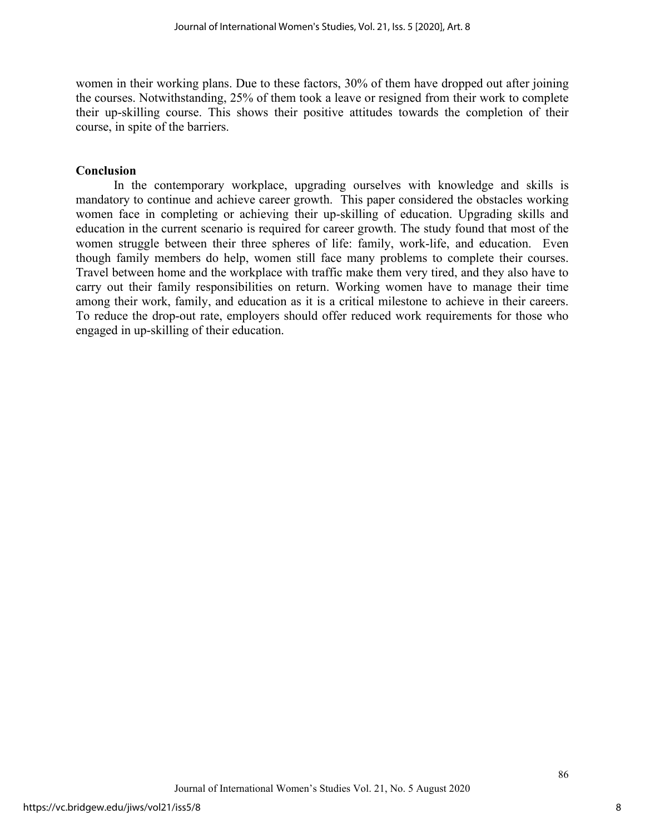women in their working plans. Due to these factors, 30% of them have dropped out after joining the courses. Notwithstanding, 25% of them took a leave or resigned from their work to complete their up-skilling course. This shows their positive attitudes towards the completion of their course, in spite of the barriers.

#### **Conclusion**

In the contemporary workplace, upgrading ourselves with knowledge and skills is mandatory to continue and achieve career growth. This paper considered the obstacles working women face in completing or achieving their up-skilling of education. Upgrading skills and education in the current scenario is required for career growth. The study found that most of the women struggle between their three spheres of life: family, work-life, and education. Even though family members do help, women still face many problems to complete their courses. Travel between home and the workplace with traffic make them very tired, and they also have to carry out their family responsibilities on return. Working women have to manage their time among their work, family, and education as it is a critical milestone to achieve in their careers. To reduce the drop-out rate, employers should offer reduced work requirements for those who engaged in up-skilling of their education.